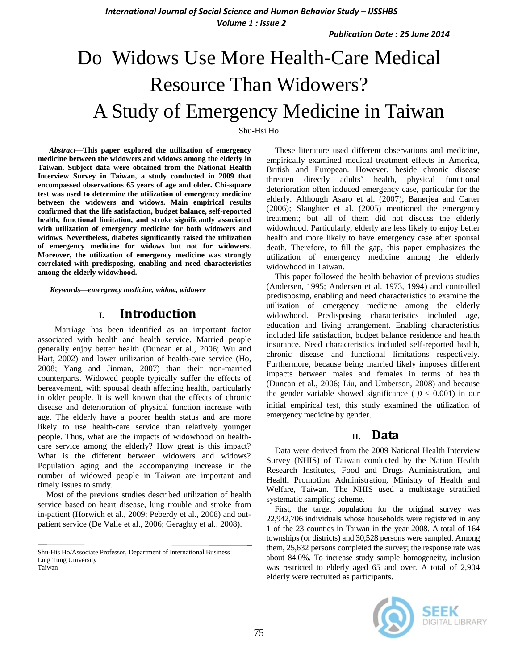**International Journal of Social Science and Human Behavior Study - IJSSHBS** *Volume 1 : Issue 2*

*Publication Date : 25 June 2014*

# Do Widows Use More Health-Care Medical Resource Than Widowers? A Study of Emergency Medicine in Taiwan

Shu-Hsi Ho

*Abstract***—This paper explored the utilization of emergency medicine between the widowers and widows among the elderly in Taiwan. Subject data were obtained from the National Health Interview Survey in Taiwan, a study conducted in 2009 that encompassed observations 65 years of age and older. Chi-square test was used to determine the utilization of emergency medicine between the widowers and widows. Main empirical results confirmed that the life satisfaction, budget balance, self-reported health, functional limitation, and stroke significantly associated with utilization of emergency medicine for both widowers and widows. Nevertheless, diabetes significantly raised the utilization of emergency medicine for widows but not for widowers. Moreover, the utilization of emergency medicine was strongly correlated with predisposing, enabling and need characteristics among the elderly widowhood.**

*Keywords—emergency medicine, widow, widower*

## **I. Introduction**

Marriage has been identified as an important factor associated with health and health service. Married people generally enjoy better health (Duncan et al., 2006; Wu and Hart, 2002) and lower utilization of health-care service (Ho[,](http://www.ncbi.nlm.nih.gov/pubmed?term=Raab%20GM%5BAuthor%5D&cauthor=true&cauthor_uid=21052007) 2008; Yang and Jinman, 2007) than their non-married counterparts. Widowed people typically suffer the effects of bereavement, with spousal death affecting health, particularly in older people. It is well known that the effects of chronic disease and deterioration of physical function increase with age. The elderly have a poorer health status and are more likely to use health-care service than relatively younger people. Thus, what are the impacts of widowhood on healthcare service among the elderly? How great is this impact? What is the different between widowers and widows? Population aging and the accompanying increase in the number of widowed people in Taiwan are important and timely issues to study.

 Most of the previous studies described utilization of health service based on heart disease, lung trouble and stroke from in-patient (Horwich et al., 2009; Peberdy et al., 2008) and outpatient service (De Valle et al., 2006; Geraghty et al., 2008).

These literature used different observations and medicine, empirically examined medical treatment effects in America, British and European. However, beside chronic disease threaten directly adults" health, physical functional deterioration often induced emergency case, particular for the elderly. Although Asaro et al. (2007); Banerjea and Carter (2006); Slaughter et al. (2005) mentioned the emergency treatment; but all of them did not discuss the elderly widowhood. Particularly, elderly are less likely to enjoy better health and more likely to have emergency case after spousal death. Therefore, to fill the gap, this paper emphasizes the utilization of emergency medicine among the elderly widowhood in Taiwan.

This paper followed the health behavior of previous studies (Andersen, 1995; Andersen et al. 1973, 1994) and controlled predisposing, enabling and need characteristics to examine the utilization of emergency medicine among the elderly widowhood. Predisposing characteristics included age, education and living arrangement. Enabling characteristics included life satisfaction, budget balance residence and health insurance. Need characteristics included self-reported health, chronic disease and functional limitations respectively. Furthermore, because being married likely imposes different impacts between males and females in terms of health (Duncan et al., 2006; Liu, and Umberson, 2008) and because the gender variable showed significance ( $p < 0.001$ ) in our initial empirical test, this study examined the utilization of emergency medicine by gender.

## **II. Data**

Data were derived from the 2009 National Health Interview Survey (NHIS) of Taiwan conducted by the Nation Health Research Institutes, Food and Drugs Administration, and Health Promotion Administration, Ministry of Health and Welfare, Taiwan. The NHIS used a multistage stratified systematic sampling scheme.

First, the target population for the original survey was 22,942,706 individuals whose households were registered in any 1 of the 23 counties in Taiwan in the year 2008. A total of 164 townships (or districts) and 30,528 persons were sampled. Among them, 25,632 persons completed the survey; the response rate was about 84.0%. To increase study sample homogeneity, inclusion was restricted to elderly aged 65 and over. A total of 2,904 elderly were recruited as participants.



Shu-His Ho/Associate Professor, Department of International Business Ling Tung University Taiwan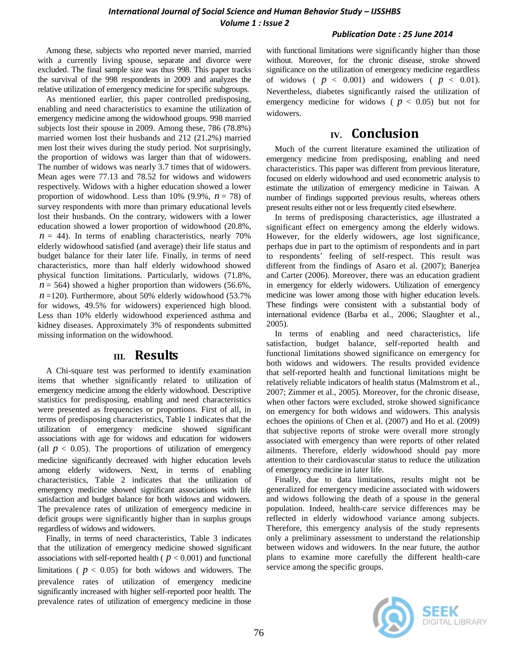#### *Publication Date : 25 June 2014*

Among these, subjects who reported never married, married with a currently living spouse, separate and divorce were excluded. The final sample size was thus 998. This paper tracks the survival of the 998 respondents in 2009 and analyzes the relative utilization of emergency medicine for specific subgroups.

As mentioned earlier, this paper controlled predisposing, enabling and need characteristics to examine the utilization of emergency medicine among the widowhood groups. 998 married subjects lost their spouse in 2009. Among these, 786 (78.8%) married women lost their husbands and 212 (21.2%) married men lost their wives during the study period. Not surprisingly, the proportion of widows was larger than that of widowers. The number of widows was nearly 3.7 times that of widowers. Mean ages were 77.13 and 78.52 for widows and widowers respectively. Widows with a higher education showed a lower proportion of widowhood. Less than  $10\%$  (9.9%,  $n = 78$ ) of survey respondents with more than primary educational levels lost their husbands. On the contrary, widowers with a lower education showed a lower proportion of widowhood (20.8%,  $n = 44$ ). In terms of enabling characteristics, nearly 70% elderly widowhood satisfied (and average) their life status and budget balance for their later life. Finally, in terms of need characteristics, more than half elderly widowhood showed physical function limitations. Particularly, widows (71.8%,  $n = 564$ ) showed a higher proportion than widowers (56.6%,  $n = 120$ ). Furthermore, about 50% elderly widowhood (53.7%) for widows, 49.5% for widowers) experienced high blood. Less than 10% elderly widowhood experienced asthma and kidney diseases. Approximately 3% of respondents submitted missing information on the widowhood.

## **III. Results**

A Chi-square test was performed to identify examination items that whether significantly related to utilization of emergency medicine among the elderly widowhood. Descriptive statistics for predisposing, enabling and need characteristics were presented as frequencies or proportions. First of all, in terms of predisposing characteristics, Table 1 indicates that the utilization of emergency medicine showed significant associations with age for widows and education for widowers (all  $p < 0.05$ ). The proportions of utilization of emergency medicine significantly decreased with higher education levels among elderly widowers. Next, in terms of enabling characteristics, Table 2 indicates that the utilization of emergency medicine showed significant associations with life satisfaction and budget balance for both widows and widowers. The prevalence rates of utilization of emergency medicine in deficit groups were significantly higher than in surplus groups regardless of widows and widowers.

Finally, in terms of need characteristics, Table 3 indicates that the utilization of emergency medicine showed significant associations with self-reported health ( $p < 0.001$ ) and functional limitations ( $p < 0.05$ ) for both widows and widowers. The prevalence rates of utilization of emergency medicine significantly increased with higher self-reported poor health. The prevalence rates of utilization of emergency medicine in those

with functional limitations were significantly higher than those without. Moreover, for the chronic disease, stroke showed significance on the utilization of emergency medicine regardless of widows ( $p < 0.001$ ) and widowers ( $p < 0.01$ ). Nevertheless, diabetes significantly raised the utilization of emergency medicine for widows ( $p < 0.05$ ) but not for widowers.

## **IV. Conclusion**

Much of the current literature examined the utilization of emergency medicine from predisposing, enabling and need characteristics. This paper was different from previous literature, focused on elderly widowhood and used econometric analysis to estimate the utilization of emergency medicine in Taiwan. A number of findings supported previous results, whereas others present results either not or less frequently cited elsewhere.

In terms of predisposing characteristics, age illustrated a significant effect on emergency among the elderly widows. However, for the elderly widowers, age lost significance, perhaps due in part to the optimism of respondents and in part to respondents" feeling of self-respect. This result was different from the findings of Asaro et al. (2007); Banerjea and Carter (2006). Moreover, there was an education gradient in emergency for elderly widowers. Utilization of emergency medicine was lower among those with higher education levels. These findings were consistent with a substantial body of international evidence (Barba et al., 2006; Slaughter et al., 2005).

In terms of enabling and need characteristics, life satisfaction, budget balance, self-reported health and functional limitations showed significance on emergency for both widows and widowers. The results provided evidence that self-reported health and functional limitations might be relatively reliable indicators of health status (Malmstrom et al., 2007; Zimmer et al., 2005). Moreover, for the chronic disease, when other factors were excluded, stroke showed significance on emergency for both widows and widowers. This analysis echoes the opinions of Chen et al. (2007) and Ho et al. (2009) that subjective reports of stroke were overall more strongly associated with emergency than were reports of other related ailments. Therefore, elderly widowhood should pay more attention to their cardiovascular status to reduce the utilization of emergency medicine in later life.

Finally, due to data limitations, results might not be generalized for emergency medicine associated with widowers and widows following the death of a spouse in the general population. Indeed, health-care service differences may be reflected in elderly widowhood variance among subjects. Therefore, this emergency analysis of the study represents only a preliminary assessment to understand the relationship between widows and widowers. In the near future, the author plans to examine more carefully the different health-care service among the specific groups.

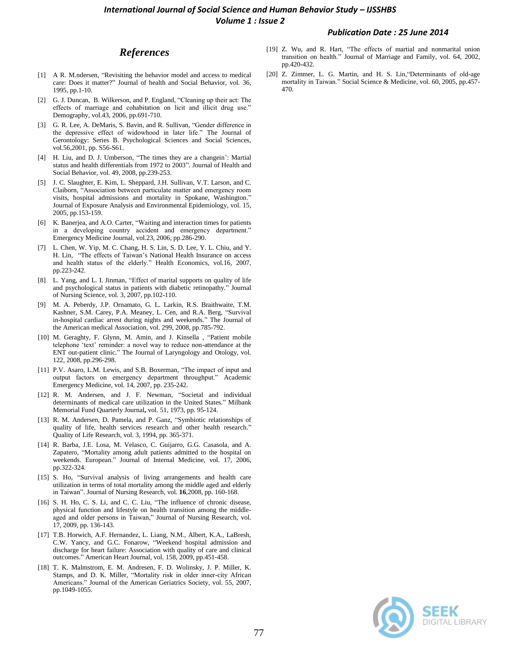#### **International Journal of Social Science and Human Behavior Study - IJSSHBS** *Volume 1 : Issue 2*

#### *Publication Date : 25 June 2014*

### *References*

- [1] A R. M.ndersen, "Revisiting the behavior model and access to medical care: Does it matter?" Journal of health and Social Behavior, vol. 36, 1995, pp.1-10.
- [2] G. J. Duncan, B. Wilkerson, and P. England, "Cleaning up their act: The effects of marriage and cohabitation on licit and illicit drug use." Demography, vol.43, 2006, pp.691-710.
- [3] G. R. Lee, A. DeMaris, S. Bavin, and R. Sullivan, "Gender difference in the depressive effect of widowhood in later life." The Journal of Gerontology: Series B. Psychological Sciences and Social Sciences, vol*.*56,2001, pp. S56-S61.
- [4] H. Liu, and D. J. Umberson, "The times they are a changein": Martial status and health differentials from 1972 to 2003". Journal of Health and Social Behavior, vol. 49, 2008, pp.239-253.
- [5] J. C. Slaughter, E. Kim, L. Sheppard, J.H. Sullivan, V.T. Larson, and C. Claiborn, "Association between particulate matter and emergency room visits, hospital admissions and mortality in Spokane, Washington." Journal of Exposure Analysis and Environmental Epidemiology, vol. 15, 2005, pp.153-159.
- [6] K. Banerjea, and A.O. Carter, "Waiting and interaction times for patients in a developing country accident and emergency department." Emergency Medicine Journal, vol.23, 2006, pp.286-290.
- [7] L. Chen, W. Yip, M. C. Chang, H. S. Lin, S. D. Lee, Y. L. Chiu, and Y. H. Lin, "The effects of Taiwan"s National Health Insurance on access and health status of the elderly." Health Economics, vol.16*,* 2007, pp.223-242.
- [8] L. Yang, and L. I. Jinman, "Effect of marital supports on quality of life and psychological status in patients with diabetic retinopathy." Journal of Nursing Science, vol. 3, 2007, pp.102-110.
- [9] M. A. Peberdy, J.P. Ornamato, G. L. Larkin, R.S. Braithwaite, T.M. Kashner, S.M. Carey, P.A. Meaney, L. Cen, and R.A. Berg, "Survival in-hospital cardiac arrest during nights and weekends." The Journal of the American medical Association, vol. 299, 2008, pp.785-792.
- [10] M. Geraghty, F. Glynn, M. Amin, and J. Kinsella, "Patient mobile telephone "text" reminder: a novel way to reduce non-attendance at the ENT out-patient clinic." The Journal of Laryngology and Otology, vol. 122, 2008, pp.296-298.
- [11] P.V. Asaro, L.M. Lewis, and S.B. Boxerman, "The impact of input and output factors on emergency department throughput." Academic Emergency Medicine, vol. 14, 2007, pp. 235-242.
- [12] R. M. Andersen, and J. F. Newman, "Societal and individual determinants of medical care utilization in the United States." Milbank Memorial Fund Quarterly Journal**,** vol. 51, 1973, pp. 95-124.
- [13] R. M. Andersen, D. Pamela, and P. Ganz, "Symbiotic relationships of quality of life, health services research and other health research." Quality of Life Research, vol. 3, 1994, pp. 365-371.
- [14] R. Barba, J.E. Losa, M. Velasco, C. Guijarro, G.G. Casasola, and A. Zapatero, "Mortality among adult patients admitted to the hospital on weekends. European." Journal of Internal Medicine, vol. 17, 2006, pp.322-324.
- [15] S. Ho, "Survival analysis of living arrangements and health care utilization in terms of total mortality among the middle aged and elderly in Taiwan". Journal of Nursing Research, vol. **16**,2008, pp. 160-168.
- [16] S. H. Ho, C. S. Li, and C. C. Liu, "The influence of chronic disease, physical function and lifestyle on health transition among the middleaged and older persons in Taiwan," Journal of Nursing Research, vol. 17, 2009, pp. 136-143.
- [17] T.B. Horwich, A.F. Hernandez, L. Liang, N.M., Albert, K.A., LaBresh, C.W. Yancy, and G.C. Fonarow, "Weekend hospital admission and discharge for heart failure: Association with quality of care and clinical outcomes." American Heart Journal, vol. 158, 2009, pp.451-458.
- [18] T. K. Malmstrom, E. M. Andresen, F. D. Wolinsky, J. P. Miller, K. Stamps, and D. K. Miller, "Mortality risk in older inner-city African Americans." Journal of the American Geriatrics Society, vol. 55, 2007, pp.1049-1055.
- [19] Z. Wu, and R. Hart, "The effects of martial and nonmarital union transition on health." Journal of Marriage and Family, vol. 64, 2002, pp.420-432.
- [20] Z. Zimmer, L. G. Martin, and H. S. Lin,"Determinants of old-age mortality in Taiwan." Social Science & Medicine, vol. 60, 2005, pp.457- 470.

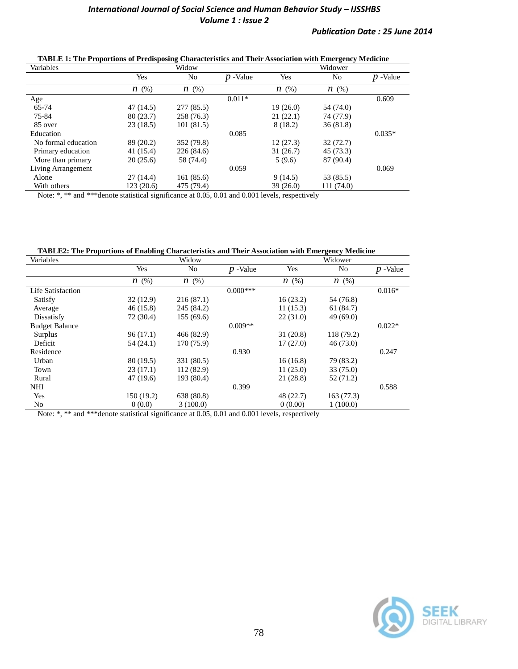| Variables           | Widow      |            |            | Widower    |                |            |  |
|---------------------|------------|------------|------------|------------|----------------|------------|--|
|                     | Yes        | No         | $p$ -Value | Yes        | N <sub>0</sub> | $p$ -Value |  |
|                     | $n \ (\%)$ | $n \ (\%)$ |            | $n \ (\%)$ | $n \ (\%)$     |            |  |
| Age                 |            |            | $0.011*$   |            |                | 0.609      |  |
| 65-74               | 47 (14.5)  | 277 (85.5) |            | 19(26.0)   | 54 (74.0)      |            |  |
| 75-84               | 80(23.7)   | 258 (76.3) |            | 21(22.1)   | 74 (77.9)      |            |  |
| 85 over             | 23(18.5)   | 101(81.5)  |            | 8(18.2)    | 36(81.8)       |            |  |
| Education           |            |            | 0.085      |            |                | $0.035*$   |  |
| No formal education | 89 (20.2)  | 352 (79.8) |            | 12(27.3)   | 32(72.7)       |            |  |
| Primary education   | 41 (15.4)  | 226(84.6)  |            | 31(26.7)   | 45 (73.3)      |            |  |
| More than primary   | 20(25.6)   | 58 (74.4)  |            | 5(9.6)     | 87 (90.4)      |            |  |
| Living Arrangement  |            |            | 0.059      |            |                | 0.069      |  |
| Alone               | 27(14.4)   | 161 (85.6) |            | 9(14.5)    | 53 (85.5)      |            |  |
| With others         | 123(20.6)  | 475 (79.4) |            | 39(26.0)   | 111 (74.0)     |            |  |

**TABLE 1: The Proportions of Predisposing Characteristics and Their Association with Emergency Medicine**

Note: \*, \*\* and \*\*\* denote statistical significance at 0.05, 0.01 and 0.001 levels, respectively

**TABLE2: The Proportions of Enabling Characteristics and Their Association with Emergency Medicine**

| Variables             | Widow      |            |            | Widower    |            |            |
|-----------------------|------------|------------|------------|------------|------------|------------|
|                       | Yes        | No.        | $p$ -Value | Yes        | No         | $p$ -Value |
|                       | $n \ (\%)$ | $n \ (\%)$ |            | $n \ (\%)$ | $n \ (\%)$ |            |
| Life Satisfaction     |            |            | $0.000***$ |            |            | $0.016*$   |
| Satisfy               | 32(12.9)   | 216(87.1)  |            | 16(23.2)   | 54 (76.8)  |            |
| Average               | 46(15.8)   | 245 (84.2) |            | 11(15.3)   | 61 (84.7)  |            |
| Dissatisfy            | 72 (30.4)  | 155(69.6)  |            | 22(31.0)   | 49(69.0)   |            |
| <b>Budget Balance</b> |            |            | $0.009**$  |            |            | $0.022*$   |
| Surplus               | 96(17.1)   | 466 (82.9) |            | 31(20.8)   | 118 (79.2) |            |
| Deficit               | 54 (24.1)  | 170 (75.9) |            | 17(27.0)   | 46(73.0)   |            |
| Residence             |            |            | 0.930      |            |            | 0.247      |
| Urban                 | 80 (19.5)  | 331 (80.5) |            | 16(16.8)   | 79 (83.2)  |            |
| Town                  | 23(17.1)   | 112(82.9)  |            | 11(25.0)   | 33 (75.0)  |            |
| Rural                 | 47 (19.6)  | 193 (80.4) |            | 21(28.8)   | 52 (71.2)  |            |
| NHI                   |            |            | 0.399      |            |            | 0.588      |
| Yes                   | 150 (19.2) | 638 (80.8) |            | 48 (22.7)  | 163(77.3)  |            |
| No                    | 0(0.0)     | 3(100.0)   |            | 0(0.00)    | 1(100.0)   |            |

Note: \*, \*\* and \*\*\*denote statistical significance at 0.05, 0.01 and 0.001 levels, respectively